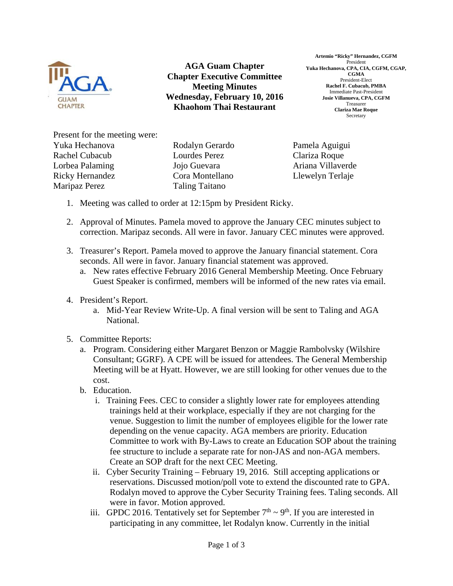

**AGA Guam Chapter Chapter Executive Committee Meeting Minutes Wednesday, February 10, 2016 Khaohom Thai Restaurant** 

**Artemio "Ricky" Hernandez, CGFM**  President **Yuka Hechanova, CPA, CIA, CGFM, CGAP, CGMA**  President-Elect **Rachel F. Cubacub, PMBA**  Immediate Past-President **Josie Villanueva, CPA, CGFM**  Treasurer **Clariza Mae Roque**  Secretary

Present for the meeting were: Yuka Hechanova Rachel Cubacub Lorbea Palaming Ricky Hernandez Maripaz Perez

Rodalyn Gerardo Lourdes Perez Jojo Guevara Cora Montellano Taling Taitano

Pamela Aguigui Clariza Roque Ariana Villaverde Llewelyn Terlaje

- 1. Meeting was called to order at 12:15pm by President Ricky.
- 2. Approval of Minutes. Pamela moved to approve the January CEC minutes subject to correction. Maripaz seconds. All were in favor. January CEC minutes were approved.
- 3. Treasurer's Report. Pamela moved to approve the January financial statement. Cora seconds. All were in favor. January financial statement was approved.
	- a. New rates effective February 2016 General Membership Meeting. Once February Guest Speaker is confirmed, members will be informed of the new rates via email.
- 4. President's Report.
	- a. Mid-Year Review Write-Up. A final version will be sent to Taling and AGA National.
- 5. Committee Reports:
	- a. Program. Considering either Margaret Benzon or Maggie Rambolvsky (Wilshire Consultant; GGRF). A CPE will be issued for attendees. The General Membership Meeting will be at Hyatt. However, we are still looking for other venues due to the cost.
	- b. Education.
		- i. Training Fees. CEC to consider a slightly lower rate for employees attending trainings held at their workplace, especially if they are not charging for the venue. Suggestion to limit the number of employees eligible for the lower rate depending on the venue capacity. AGA members are priority. Education Committee to work with By-Laws to create an Education SOP about the training fee structure to include a separate rate for non-JAS and non-AGA members. Create an SOP draft for the next CEC Meeting.
		- ii. Cyber Security Training February 19, 2016. Still accepting applications or reservations. Discussed motion/poll vote to extend the discounted rate to GPA. Rodalyn moved to approve the Cyber Security Training fees. Taling seconds. All were in favor. Motion approved.
		- iii. GPDC 2016. Tentatively set for September  $7<sup>th</sup> \sim 9<sup>th</sup>$ . If you are interested in participating in any committee, let Rodalyn know. Currently in the initial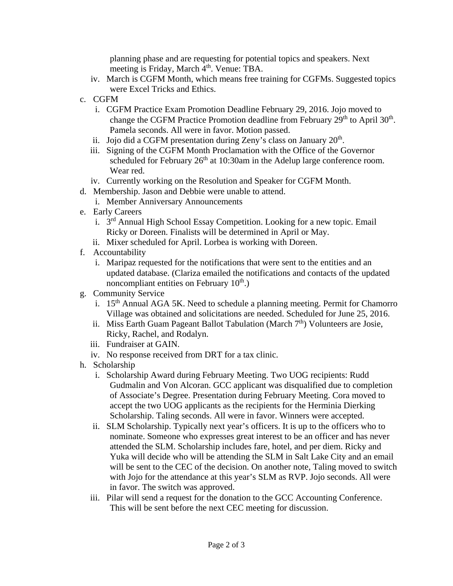planning phase and are requesting for potential topics and speakers. Next meeting is Friday, March <sup>4th</sup>. Venue: TBA.

- iv. March is CGFM Month, which means free training for CGFMs. Suggested topics were Excel Tricks and Ethics.
- c. CGFM
	- i. CGFM Practice Exam Promotion Deadline February 29, 2016. Jojo moved to change the CGFM Practice Promotion deadline from February 29<sup>th</sup> to April 30<sup>th</sup>. Pamela seconds. All were in favor. Motion passed.
	- ii. Jojo did a CGFM presentation during Zeny's class on January  $20<sup>th</sup>$ .
	- iii. Signing of the CGFM Month Proclamation with the Office of the Governor scheduled for February  $26<sup>th</sup>$  at 10:30am in the Adelup large conference room. Wear red.
	- iv. Currently working on the Resolution and Speaker for CGFM Month.
- d. Membership. Jason and Debbie were unable to attend.
	- i. Member Anniversary Announcements
- e. Early Careers
	- i. 3rd Annual High School Essay Competition. Looking for a new topic. Email Ricky or Doreen. Finalists will be determined in April or May.
	- ii. Mixer scheduled for April. Lorbea is working with Doreen.
- f. Accountability
	- i. Maripaz requested for the notifications that were sent to the entities and an updated database. (Clariza emailed the notifications and contacts of the updated noncompliant entities on February  $10<sup>th</sup>$ .)
- g. Community Service
	- i. 15<sup>th</sup> Annual AGA 5K. Need to schedule a planning meeting. Permit for Chamorro Village was obtained and solicitations are needed. Scheduled for June 25, 2016.
	- ii. Miss Earth Guam Pageant Ballot Tabulation (March  $7<sup>th</sup>$ ) Volunteers are Josie, Ricky, Rachel, and Rodalyn.
	- iii. Fundraiser at GAIN.
	- iv. No response received from DRT for a tax clinic.
- h. Scholarship
	- i. Scholarship Award during February Meeting. Two UOG recipients: Rudd Gudmalin and Von Alcoran. GCC applicant was disqualified due to completion of Associate's Degree. Presentation during February Meeting. Cora moved to accept the two UOG applicants as the recipients for the Herminia Dierking Scholarship. Taling seconds. All were in favor. Winners were accepted.
	- ii. SLM Scholarship. Typically next year's officers. It is up to the officers who to nominate. Someone who expresses great interest to be an officer and has never attended the SLM. Scholarship includes fare, hotel, and per diem. Ricky and Yuka will decide who will be attending the SLM in Salt Lake City and an email will be sent to the CEC of the decision. On another note, Taling moved to switch with Jojo for the attendance at this year's SLM as RVP. Jojo seconds. All were in favor. The switch was approved.
	- iii. Pilar will send a request for the donation to the GCC Accounting Conference. This will be sent before the next CEC meeting for discussion.